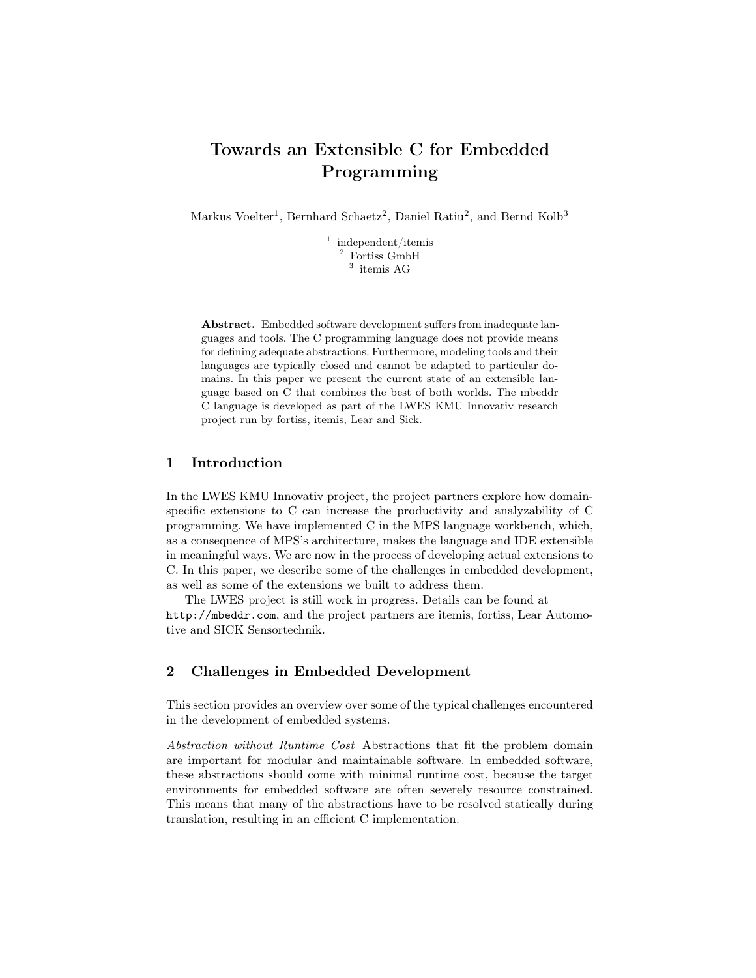# Towards an Extensible C for Embedded Programming

Markus Voelter<sup>1</sup>, Bernhard Schaetz<sup>2</sup>, Daniel Ratiu<sup>2</sup>, and Bernd Kolb<sup>3</sup>

<sup>1</sup> independent/itemis <sup>2</sup> Fortiss GmbH 3 itemis AG

Abstract. Embedded software development suffers from inadequate languages and tools. The C programming language does not provide means for defining adequate abstractions. Furthermore, modeling tools and their languages are typically closed and cannot be adapted to particular domains. In this paper we present the current state of an extensible language based on C that combines the best of both worlds. The mbeddr C language is developed as part of the LWES KMU Innovativ research project run by fortiss, itemis, Lear and Sick.

#### 1 Introduction

In the LWES KMU Innovativ project, the project partners explore how domainspecific extensions to C can increase the productivity and analyzability of C programming. We have implemented C in the MPS language workbench, which, as a consequence of MPS's architecture, makes the language and IDE extensible in meaningful ways. We are now in the process of developing actual extensions to C. In this paper, we describe some of the challenges in embedded development, as well as some of the extensions we built to address them.

The LWES project is still work in progress. Details can be found at http://mbeddr.com, and the project partners are itemis, fortiss, Lear Automotive and SICK Sensortechnik.

## 2 Challenges in Embedded Development

This section provides an overview over some of the typical challenges encountered in the development of embedded systems.

Abstraction without Runtime Cost Abstractions that fit the problem domain are important for modular and maintainable software. In embedded software, these abstractions should come with minimal runtime cost, because the target environments for embedded software are often severely resource constrained. This means that many of the abstractions have to be resolved statically during translation, resulting in an efficient C implementation.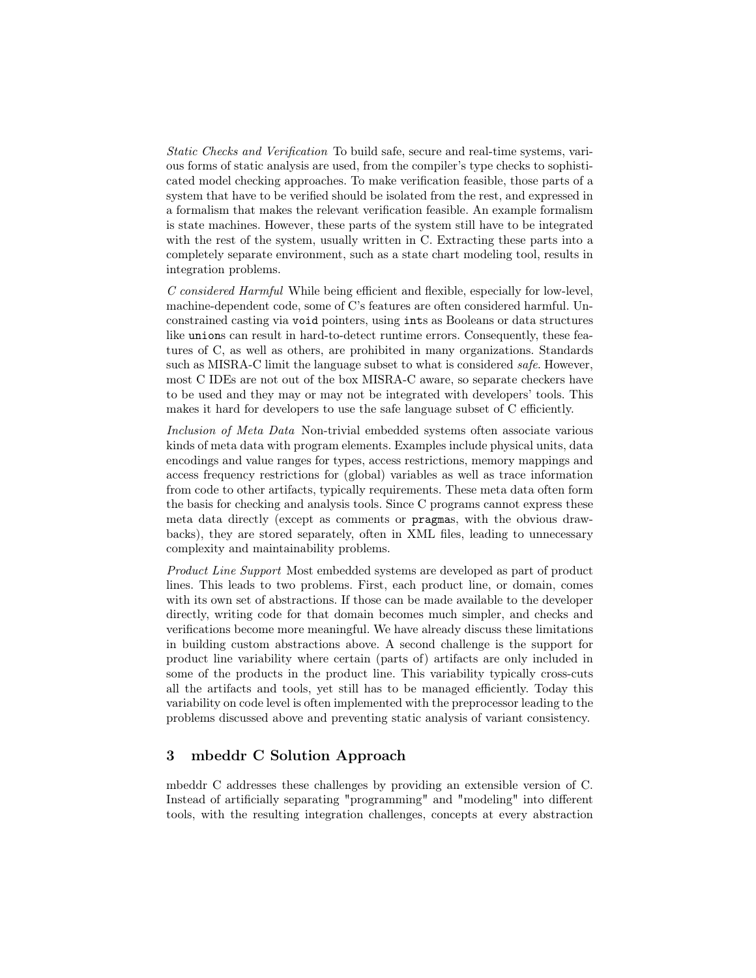Static Checks and Verification To build safe, secure and real-time systems, various forms of static analysis are used, from the compiler's type checks to sophisticated model checking approaches. To make verification feasible, those parts of a system that have to be verified should be isolated from the rest, and expressed in a formalism that makes the relevant verification feasible. An example formalism is state machines. However, these parts of the system still have to be integrated with the rest of the system, usually written in C. Extracting these parts into a completely separate environment, such as a state chart modeling tool, results in integration problems.

C considered Harmful While being efficient and flexible, especially for low-level, machine-dependent code, some of C's features are often considered harmful. Unconstrained casting via void pointers, using ints as Booleans or data structures like unions can result in hard-to-detect runtime errors. Consequently, these features of C, as well as others, are prohibited in many organizations. Standards such as MISRA-C limit the language subset to what is considered *safe*. However, most C IDEs are not out of the box MISRA-C aware, so separate checkers have to be used and they may or may not be integrated with developers' tools. This makes it hard for developers to use the safe language subset of C efficiently.

Inclusion of Meta Data Non-trivial embedded systems often associate various kinds of meta data with program elements. Examples include physical units, data encodings and value ranges for types, access restrictions, memory mappings and access frequency restrictions for (global) variables as well as trace information from code to other artifacts, typically requirements. These meta data often form the basis for checking and analysis tools. Since C programs cannot express these meta data directly (except as comments or pragmas, with the obvious drawbacks), they are stored separately, often in XML files, leading to unnecessary complexity and maintainability problems.

Product Line Support Most embedded systems are developed as part of product lines. This leads to two problems. First, each product line, or domain, comes with its own set of abstractions. If those can be made available to the developer directly, writing code for that domain becomes much simpler, and checks and verifications become more meaningful. We have already discuss these limitations in building custom abstractions above. A second challenge is the support for product line variability where certain (parts of) artifacts are only included in some of the products in the product line. This variability typically cross-cuts all the artifacts and tools, yet still has to be managed efficiently. Today this variability on code level is often implemented with the preprocessor leading to the problems discussed above and preventing static analysis of variant consistency.

### 3 mbeddr C Solution Approach

mbeddr C addresses these challenges by providing an extensible version of C. Instead of artificially separating "programming" and "modeling" into different tools, with the resulting integration challenges, concepts at every abstraction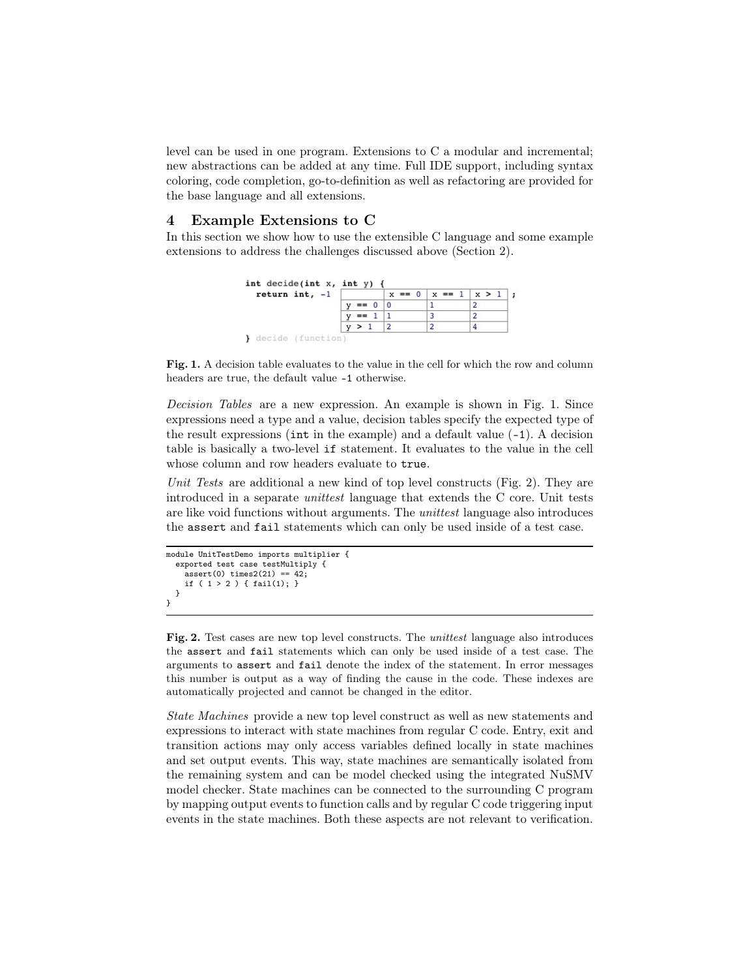level can be used in one program. Extensions to C a modular and incremental; new abstractions can be added at any time. Full IDE support, including syntax coloring, code completion, go-to-definition as well as refactoring are provided for the base language and all extensions.

#### 4 Example Extensions to C

In this section we show how to use the extensible C language and some example extensions to address the challenges discussed above (Section 2).



Fig. 1. A decision table evaluates to the value in the cell for which the row and column headers are true, the default value -1 otherwise.

Decision Tables are a new expression. An example is shown in Fig. 1. Since expressions need a type and a value, decision tables specify the expected type of the result expressions ( $\text{int}$  in the example) and a default value  $(-1)$ . A decision table is basically a two-level if statement. It evaluates to the value in the cell whose column and row headers evaluate to true.

Unit Tests are additional a new kind of top level constructs (Fig. 2). They are introduced in a separate unittest language that extends the C core. Unit tests are like void functions without arguments. The *unittest* language also introduces the assert and fail statements which can only be used inside of a test case.

```
module UnitTestDemo imports multiplier {
  exported test case testMultiply {
   assert(0) times2(21) == 42;if ( 1 > 2 ) { fail(1); }
 }
}
```
Fig. 2. Test cases are new top level constructs. The *unittest* language also introduces the assert and fail statements which can only be used inside of a test case. The arguments to assert and fail denote the index of the statement. In error messages this number is output as a way of finding the cause in the code. These indexes are automatically projected and cannot be changed in the editor.

State Machines provide a new top level construct as well as new statements and expressions to interact with state machines from regular C code. Entry, exit and transition actions may only access variables defined locally in state machines and set output events. This way, state machines are semantically isolated from the remaining system and can be model checked using the integrated NuSMV model checker. State machines can be connected to the surrounding C program by mapping output events to function calls and by regular C code triggering input events in the state machines. Both these aspects are not relevant to verification.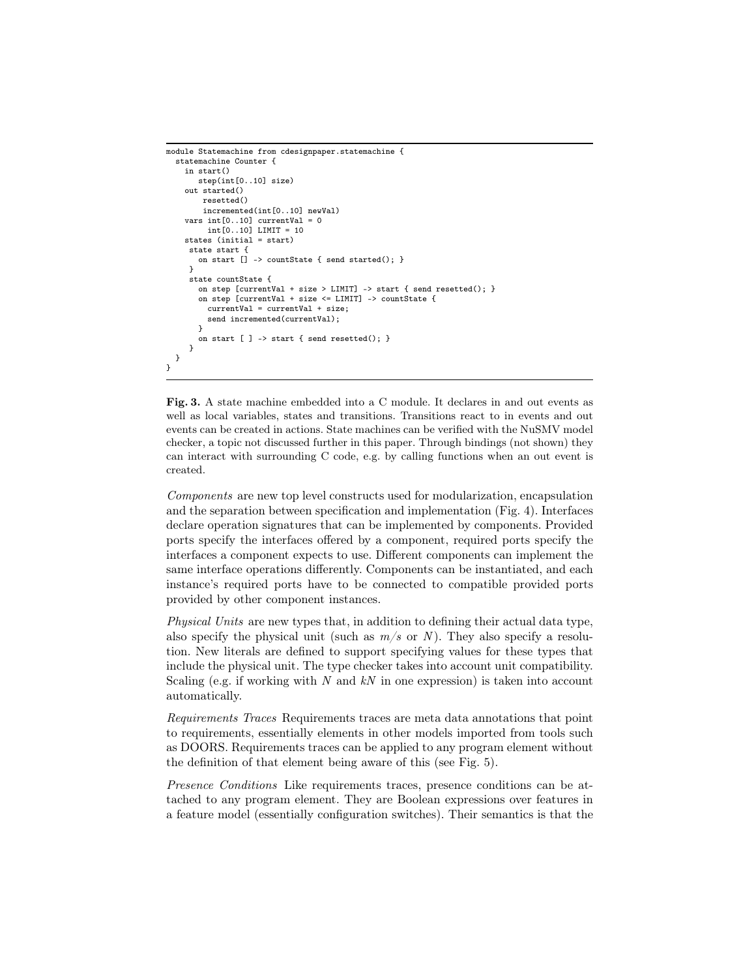```
module Statemachine from cdesignpaper.statemachine {
  statemachine Counter {
    in start()
       step(int[0..10] size)
    out started()
        resetted()
        incremented(int[0..10] newVal)
    vars int[0..10] currentVal = 0
          int[0..10] LIMIT = 10
    states (initial = start)
     state start {
       on start [] -> countState { send started(); }
     }
     state countState {
       on step \lceil \text{currentVal} + \text{size} \rangle LIMIT\rceil -> start \{ send resetted(); \rceilon step [currentVal + size <= LIMIT] -> countState {
          currentVal = currentVal + size;
         send incremented(currentVal);
       }
       on start [ ] \rightarrow start \{ send resetted(); \}}
 }
}
```
Fig. 3. A state machine embedded into a C module. It declares in and out events as well as local variables, states and transitions. Transitions react to in events and out events can be created in actions. State machines can be verified with the NuSMV model checker, a topic not discussed further in this paper. Through bindings (not shown) they can interact with surrounding C code, e.g. by calling functions when an out event is created.

Components are new top level constructs used for modularization, encapsulation and the separation between specification and implementation (Fig. 4). Interfaces declare operation signatures that can be implemented by components. Provided ports specify the interfaces offered by a component, required ports specify the interfaces a component expects to use. Different components can implement the same interface operations differently. Components can be instantiated, and each instance's required ports have to be connected to compatible provided ports provided by other component instances.

Physical Units are new types that, in addition to defining their actual data type, also specify the physical unit (such as  $m/s$  or N). They also specify a resolution. New literals are defined to support specifying values for these types that include the physical unit. The type checker takes into account unit compatibility. Scaling (e.g. if working with N and  $kN$  in one expression) is taken into account automatically.

Requirements Traces Requirements traces are meta data annotations that point to requirements, essentially elements in other models imported from tools such as DOORS. Requirements traces can be applied to any program element without the definition of that element being aware of this (see Fig. 5).

Presence Conditions Like requirements traces, presence conditions can be attached to any program element. They are Boolean expressions over features in a feature model (essentially configuration switches). Their semantics is that the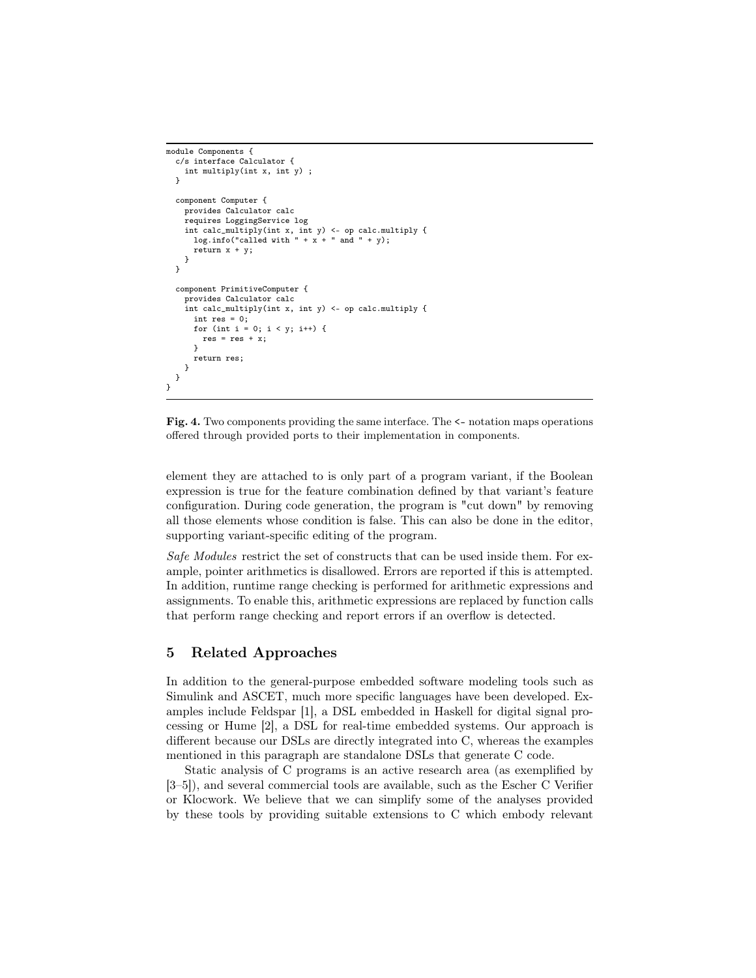```
module Components {
  c/s interface Calculator {
    int multiply(int x, int y) ;
  \overline{1}component Computer {
    provides Calculator calc
    requires LoggingService log
     int calc_multiply(int x, int y) <- op calc.multiply {<br>log.info("called with " + x + " and " + y);
      return x + y;
    }
  }
  component PrimitiveComputer {
    provides Calculator calc
    int calc_multiply(int x, int y) <- op calc.multiply {
       int res = 0;
      for (int i = 0; i < y; i++) {
        res = res + x;}
      return res;
    }
  }
}
```
Fig. 4. Two components providing the same interface. The <- notation maps operations offered through provided ports to their implementation in components.

element they are attached to is only part of a program variant, if the Boolean expression is true for the feature combination defined by that variant's feature configuration. During code generation, the program is "cut down" by removing all those elements whose condition is false. This can also be done in the editor, supporting variant-specific editing of the program.

Safe Modules restrict the set of constructs that can be used inside them. For example, pointer arithmetics is disallowed. Errors are reported if this is attempted. In addition, runtime range checking is performed for arithmetic expressions and assignments. To enable this, arithmetic expressions are replaced by function calls that perform range checking and report errors if an overflow is detected.

#### 5 Related Approaches

In addition to the general-purpose embedded software modeling tools such as Simulink and ASCET, much more specific languages have been developed. Examples include Feldspar [1], a DSL embedded in Haskell for digital signal processing or Hume [2], a DSL for real-time embedded systems. Our approach is different because our DSLs are directly integrated into C, whereas the examples mentioned in this paragraph are standalone DSLs that generate C code.

Static analysis of C programs is an active research area (as exemplified by [3–5]), and several commercial tools are available, such as the Escher C Verifier or Klocwork. We believe that we can simplify some of the analyses provided by these tools by providing suitable extensions to C which embody relevant